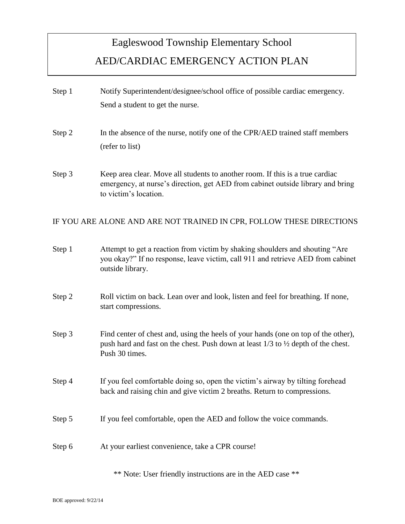## Eagleswood Township Elementary School AED/CARDIAC EMERGENCY ACTION PLAN

Step 1 Notify Superintendent/designee/school office of possible cardiac emergency. Send a student to get the nurse. Step 2 In the absence of the nurse, notify one of the CPR/AED trained staff members (refer to list) Step 3 Keep area clear. Move all students to another room. If this is a true cardiac emergency, at nurse's direction, get AED from cabinet outside library and bring to victim's location. IF YOU ARE ALONE AND ARE NOT TRAINED IN CPR, FOLLOW THESE DIRECTIONS Step 1 Attempt to get a reaction from victim by shaking shoulders and shouting "Are you okay?" If no response, leave victim, call 911 and retrieve AED from cabinet outside library. Step 2 Roll victim on back. Lean over and look, listen and feel for breathing. If none, start compressions. Step 3 Find center of chest and, using the heels of your hands (one on top of the other), push hard and fast on the chest. Push down at least  $1/3$  to  $\frac{1}{2}$  depth of the chest. Push 30 times. Step 4 If you feel comfortable doing so, open the victim's airway by tilting forehead back and raising chin and give victim 2 breaths. Return to compressions. Step 5 If you feel comfortable, open the AED and follow the voice commands. Step 6 At your earliest convenience, take a CPR course!

\*\* Note: User friendly instructions are in the AED case \*\*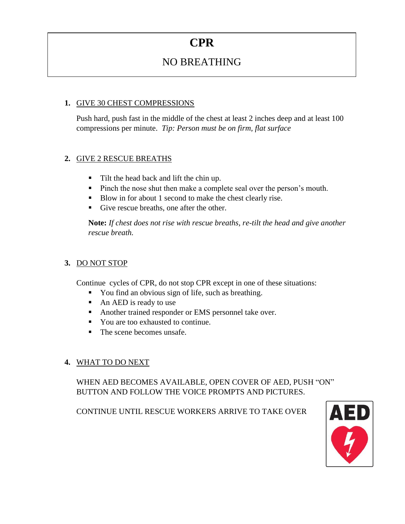## **CPR**

### NO BREATHING

#### **1.** GIVE 30 CHEST COMPRESSIONS

Push hard, push fast in the middle of the chest at least 2 inches deep and at least 100 compressions per minute. *Tip: Person must be on firm, flat surface*

#### **2.** GIVE 2 RESCUE BREATHS

- Tilt the head back and lift the chin up.
- Pinch the nose shut then make a complete seal over the person's mouth.
- Blow in for about 1 second to make the chest clearly rise.
- Give rescue breaths, one after the other.

**Note:** *If chest does not rise with rescue breaths, re-tilt the head and give another rescue breath.*

#### **3.** DO NOT STOP

Continue cycles of CPR, do not stop CPR except in one of these situations:

- You find an obvious sign of life, such as breathing.
- An AED is ready to use
- Another trained responder or EMS personnel take over.
- You are too exhausted to continue.
- The scene becomes unsafe.
- **4.** WHAT TO DO NEXT

WHEN AED BECOMES AVAILABLE, OPEN COVER OF AED, PUSH "ON" BUTTON AND FOLLOW THE VOICE PROMPTS AND PICTURES.

CONTINUE UNTIL RESCUE WORKERS ARRIVE TO TAKE OVER